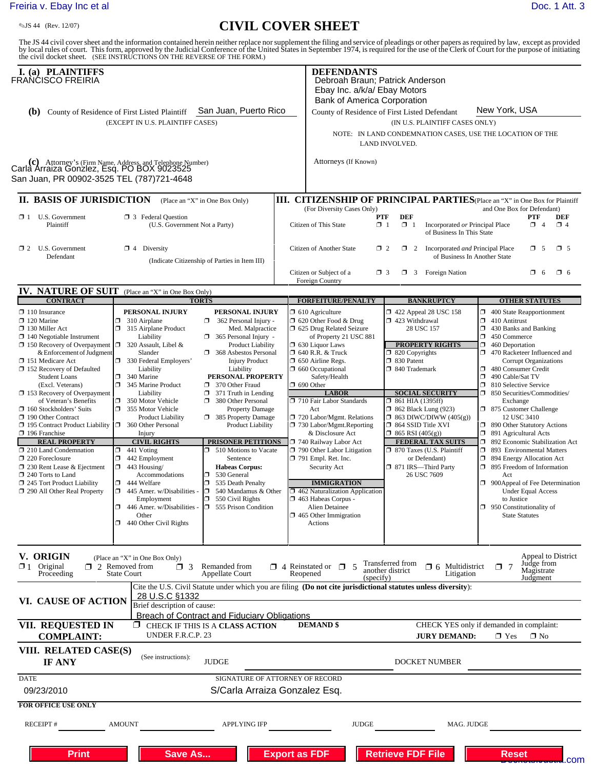## [Freiria v. Ebay Inc et al](http://dockets.justia.com/docket/california/candce/5:2011cv01808/239575/) [Doc. 1 Att. 3](http://docs.justia.com/cases/federal/district-courts/california/candce/5:2011cv01808/239575/1/3.html)

## **CIVIL COVER SHEET**

The JS 44 civil cover sheet and the information contained herein neither replace nor supplement the filing and service of pleadings or other papers as required by law, except as provided<br>by local rules of court. This form,

| I. (a) PLAINTIFFS<br>FRAÑĆISCO FREIRIA                                                                                                               |                                                                       |                                                                                        |                                                                                                                                             | <b>DEFENDANTS</b><br>Debroah Braun; Patrick Anderson<br>Ebay Inc. a/k/a/ Ebay Motors                                                      |                                                                                                                |                                                                                                            |  |
|------------------------------------------------------------------------------------------------------------------------------------------------------|-----------------------------------------------------------------------|----------------------------------------------------------------------------------------|---------------------------------------------------------------------------------------------------------------------------------------------|-------------------------------------------------------------------------------------------------------------------------------------------|----------------------------------------------------------------------------------------------------------------|------------------------------------------------------------------------------------------------------------|--|
|                                                                                                                                                      |                                                                       |                                                                                        |                                                                                                                                             | Bank of America Corporation                                                                                                               |                                                                                                                | New York, USA                                                                                              |  |
| San Juan, Puerto Rico<br>County of Residence of First Listed Plaintiff<br>(b)<br>(EXCEPT IN U.S. PLAINTIFF CASES)                                    |                                                                       |                                                                                        |                                                                                                                                             |                                                                                                                                           | County of Residence of First Listed Defendant<br>(IN U.S. PLAINTIFF CASES ONLY)                                |                                                                                                            |  |
|                                                                                                                                                      |                                                                       |                                                                                        |                                                                                                                                             | NOTE: IN LAND CONDEMNATION CASES, USE THE LOCATION OF THE                                                                                 |                                                                                                                |                                                                                                            |  |
|                                                                                                                                                      |                                                                       |                                                                                        |                                                                                                                                             |                                                                                                                                           | LAND INVOLVED.                                                                                                 |                                                                                                            |  |
| (c) Attorney's (Firm Name, Address, and Telephone Number)<br>Carla Arraiza Gonzlez, Esq. PO BOX 9023525<br>San Juan, PR 00902-3525 TEL (787)721-4648 |                                                                       |                                                                                        |                                                                                                                                             | Attorneys (If Known)                                                                                                                      |                                                                                                                |                                                                                                            |  |
|                                                                                                                                                      |                                                                       |                                                                                        |                                                                                                                                             |                                                                                                                                           |                                                                                                                |                                                                                                            |  |
| II. BASIS OF JURISDICTION                                                                                                                            |                                                                       | (Place an "X" in One Box Only)                                                         |                                                                                                                                             | (For Diversity Cases Only)                                                                                                                |                                                                                                                | III. CITIZENSHIP OF PRINCIPAL PARTIES (Place an "X" in One Box for Plaintiff<br>and One Box for Defendant) |  |
| $\Box$ 1 U.S. Government                                                                                                                             | <b>3</b> Federal Question                                             |                                                                                        |                                                                                                                                             | <b>DEF</b><br>PTF<br>PTF<br>DEF                                                                                                           |                                                                                                                |                                                                                                            |  |
| Plaintiff                                                                                                                                            | (U.S. Government Not a Party)                                         |                                                                                        | $\mathbf{X}$ 1<br>$\Box$ 1<br>Citizen of This State<br>Incorporated or Principal Place<br>$\Box$ 4<br>$\Box$ 4<br>of Business In This State |                                                                                                                                           |                                                                                                                |                                                                                                            |  |
| $\Box$ 2 U.S. Government<br>Defendant                                                                                                                | $\boxtimes$ 4 Diversity                                               |                                                                                        |                                                                                                                                             | $\times$ 5<br>1 2 Incorporated and Principal Place<br>$\square$ 5<br>Citizen of Another State<br>$\Box$ 2<br>of Business In Another State |                                                                                                                |                                                                                                            |  |
|                                                                                                                                                      |                                                                       | (Indicate Citizenship of Parties in Item III)                                          |                                                                                                                                             |                                                                                                                                           |                                                                                                                |                                                                                                            |  |
|                                                                                                                                                      |                                                                       |                                                                                        |                                                                                                                                             | Citizen or Subject of a<br>Foreign Country                                                                                                | $\Box$ 3 Foreign Nation<br>$\Box$ 3                                                                            | O 6<br>$\Box$ 6                                                                                            |  |
| IV. NATURE OF SUIT (Place an "X" in One Box Only)                                                                                                    |                                                                       |                                                                                        |                                                                                                                                             |                                                                                                                                           |                                                                                                                |                                                                                                            |  |
| <b>CONTRACT</b>                                                                                                                                      | <b>TORTS</b>                                                          |                                                                                        |                                                                                                                                             | <b>FORFEITURE/PENALTY</b>                                                                                                                 | <b>BANKRUPTCY</b>                                                                                              | <b>OTHER STATUTES</b>                                                                                      |  |
| $\Box$ 110 Insurance<br>$\Box$ 120 Marine                                                                                                            | PERSONAL INJURY<br>310 Airplane<br>σ                                  | PERSONAL INJURY<br>$\Box$<br>362 Personal Injury -                                     |                                                                                                                                             | $\Box$ 610 Agriculture<br>$\Box$ 620 Other Food & Drug                                                                                    | $\Box$ 422 Appeal 28 USC 158<br>$\Box$ 423 Withdrawal                                                          | $\Box$ 400 State Reapportionment<br>410 Antitrust<br>σ.                                                    |  |
| $\Box$ 130 Miller Act                                                                                                                                | $\Box$ 315 Airplane Product                                           | Med. Malpractice                                                                       |                                                                                                                                             | 5 625 Drug Related Seizure                                                                                                                | 28 USC 157                                                                                                     | α.<br>430 Banks and Banking                                                                                |  |
| $\Box$ 140 Negotiable Instrument                                                                                                                     | Liability                                                             | 365 Personal Injury -                                                                  |                                                                                                                                             | of Property 21 USC 881                                                                                                                    |                                                                                                                | $\Box$ 450 Commerce                                                                                        |  |
| □ 150 Recovery of Overpayment □ 320 Assault, Libel &<br>& Enforcement of Judgment                                                                    | Slander                                                               | <b>Product Liability</b><br>368 Asbestos Personal                                      |                                                                                                                                             | $\Box$ 630 Liquor Laws<br>$\Box$ 640 R.R. & Truck                                                                                         | <b>PROPERTY RIGHTS</b><br>$\Box$ 820 Copyrights                                                                | 460 Deportation<br>α.<br>470 Racketeer Influenced and                                                      |  |
| 151 Medicare Act                                                                                                                                     | 330 Federal Employers'                                                | <b>Injury Product</b>                                                                  |                                                                                                                                             | 50 Airline Regs.                                                                                                                          | $\Box$ 830 Patent                                                                                              | <b>Corrupt Organizations</b>                                                                               |  |
| $\Box$ 152 Recovery of Defaulted                                                                                                                     | Liability                                                             | Liability                                                                              |                                                                                                                                             | $\Box$ 660 Occupational                                                                                                                   | □ 840 Trademark                                                                                                | 480 Consumer Credit                                                                                        |  |
| <b>Student Loans</b><br>(Excl. Veterans)                                                                                                             | 340 Marine<br>σ<br>345 Marine Product                                 | PERSONAL PROPERTY<br>370 Other Fraud                                                   |                                                                                                                                             | Safety/Health<br>$\Box$ 690 Other                                                                                                         |                                                                                                                | σ<br>490 Cable/Sat TV<br>Ω.<br>810 Selective Service                                                       |  |
| $\Box$ 153 Recovery of Overpayment                                                                                                                   | Liability                                                             | $\Box$ 371 Truth in Lending                                                            |                                                                                                                                             | <b>LABOR</b>                                                                                                                              | <b>SOCIAL SECURITY</b>                                                                                         | □ 850 Securities/Commodities/                                                                              |  |
| of Veteran's Benefits                                                                                                                                | $\Box$<br>350 Motor Vehicle                                           | 380 Other Personal                                                                     |                                                                                                                                             | 710 Fair Labor Standards                                                                                                                  | $\Box$ 861 HIA (1395ff)                                                                                        | Exchange                                                                                                   |  |
| $\Box$ 160 Stockholders' Suits                                                                                                                       | 355 Motor Vehicle                                                     | Property Damage                                                                        |                                                                                                                                             | Act                                                                                                                                       | $\Box$ 862 Black Lung (923)                                                                                    | 7 875 Customer Challenge                                                                                   |  |
| 190 Other Contract<br>195 Contract Product Liability                                                                                                 | <b>Product Liability</b><br>360 Other Personal                        | 385 Property Damage<br>Product Liability                                               |                                                                                                                                             | 720 Labor/Mgmt. Relations<br>$\Box$ 730 Labor/Mgmt.Reporting                                                                              | $\Box$ 863 DIWC/DIWW (405(g))<br>$\Box$ 864 SSID Title XVI                                                     | 12 USC 3410<br>1 890 Other Statutory Actions                                                               |  |
| $\Box$ 196 Franchise                                                                                                                                 | Injury                                                                |                                                                                        |                                                                                                                                             | & Disclosure Act                                                                                                                          | $\Box$ 865 RSI (405(g))                                                                                        | $\Box$ 891 Agricultural Acts                                                                               |  |
| <b>REAL PROPERTY</b>                                                                                                                                 | <b>CIVIL RIGHTS</b>                                                   | <b>PRISONER PETITIONS</b>                                                              |                                                                                                                                             | 740 Railway Labor Act                                                                                                                     | <b>FEDERAL TAX SUITS</b>                                                                                       | Ω.<br>892 Economic Stabilization Act                                                                       |  |
| $\Box$ 210 Land Condemnation<br>$\Box$ 220 Foreclosure                                                                                               | $\Box$ 441 Voting<br>σ<br>442 Employment                              | 510 Motions to Vacate<br>Sentence                                                      |                                                                                                                                             | $\Box$ 790 Other Labor Litigation<br>$\Box$ 791 Empl. Ret. Inc.                                                                           | □ 870 Taxes (U.S. Plaintiff<br>or Defendant)                                                                   | 7 893 Environmental Matters<br>$\Box$ 894 Energy Allocation Act                                            |  |
| □ 230 Rent Lease & Ejectment                                                                                                                         | σ<br>443 Housing/                                                     | <b>Habeas Corpus:</b>                                                                  |                                                                                                                                             | Security Act                                                                                                                              | □ 871 IRS-Third Party                                                                                          | ο.<br>895 Freedom of Information                                                                           |  |
| $\Box$ 240 Torts to Land                                                                                                                             | Accommodations                                                        | 530 General<br>ο.                                                                      |                                                                                                                                             |                                                                                                                                           | 26 USC 7609                                                                                                    | Act                                                                                                        |  |
| $\Box$ 245 Tort Product Liability                                                                                                                    | $\Box$ 444 Welfare<br>$\Box$ 445 Amer. w/Disabilities -               | 535 Death Penalty<br>σ<br>$\Box$ 540 Mandamus & Other                                  |                                                                                                                                             | <b>IMMIGRATION</b><br>$\Box$ 462 Naturalization Application                                                                               |                                                                                                                | $\Box$ 900Appeal of Fee Determination<br><b>Under Equal Access</b>                                         |  |
| 290 All Other Real Property                                                                                                                          | Employment                                                            | $\Box$ 550 Civil Rights                                                                |                                                                                                                                             | 1463 Habeas Corpus -                                                                                                                      |                                                                                                                | to Justice                                                                                                 |  |
|                                                                                                                                                      | 446 Amer. w/Disabilities -<br>σ                                       | $\Box$ 555 Prison Condition                                                            |                                                                                                                                             | Alien Detainee                                                                                                                            |                                                                                                                | $\Box$ 950 Constitutionality of                                                                            |  |
|                                                                                                                                                      | Other                                                                 |                                                                                        |                                                                                                                                             | $\Box$ 465 Other Immigration                                                                                                              |                                                                                                                | <b>State Statutes</b>                                                                                      |  |
|                                                                                                                                                      | $\Box$ 440 Other Civil Rights                                         |                                                                                        |                                                                                                                                             | Actions                                                                                                                                   |                                                                                                                |                                                                                                            |  |
| V. ORIGIN<br>$\mathbf{Z}$ 1<br>Original                                                                                                              | (Place an "X" in One Box Only)<br>$\Box$ 2 Removed from<br>$\sqcap$ 3 | Remanded from                                                                          |                                                                                                                                             | $\Box$ 4 Reinstated or $\Box$<br>.5                                                                                                       | Transferred from<br>$\Box$ 6 Multidistrict                                                                     | Appeal to District<br>Judge from<br>$\Box$ 7                                                               |  |
| Proceeding                                                                                                                                           | <b>State Court</b>                                                    | <b>Appellate Court</b>                                                                 | Reopened                                                                                                                                    | (specify)                                                                                                                                 | another district<br>Litigation                                                                                 | Magistrate<br>Judgment                                                                                     |  |
|                                                                                                                                                      | 28 U.S.C §1332                                                        |                                                                                        |                                                                                                                                             |                                                                                                                                           | Cite the U.S. Civil Statute under which you are filing (Do not cite jurisdictional statutes unless diversity): |                                                                                                            |  |
| VI. CAUSE OF ACTION                                                                                                                                  | Brief description of cause:                                           |                                                                                        |                                                                                                                                             |                                                                                                                                           |                                                                                                                |                                                                                                            |  |
| VII. REQUESTED IN                                                                                                                                    |                                                                       | <b>Breach of Contract and Fiduciary Obligations</b><br>CHECK IF THIS IS A CLASS ACTION |                                                                                                                                             | <b>DEMAND \$</b>                                                                                                                          |                                                                                                                | CHECK YES only if demanded in complaint:                                                                   |  |
| <b>COMPLAINT:</b>                                                                                                                                    | UNDER F.R.C.P. 23                                                     |                                                                                        |                                                                                                                                             |                                                                                                                                           | <b>JURY DEMAND:</b>                                                                                            | $\blacksquare$ Yes<br>$\Box$ No                                                                            |  |
| VIII. RELATED CASE(S)<br>IF ANY                                                                                                                      | (See instructions):                                                   | <b>JUDGE</b>                                                                           |                                                                                                                                             |                                                                                                                                           | DOCKET NUMBER                                                                                                  |                                                                                                            |  |
| <b>DATE</b>                                                                                                                                          |                                                                       | SIGNATURE OF ATTORNEY OF RECORD                                                        |                                                                                                                                             |                                                                                                                                           |                                                                                                                |                                                                                                            |  |
| 09/23/2010                                                                                                                                           |                                                                       | S/Carla Arraiza Gonzalez Esq.                                                          |                                                                                                                                             |                                                                                                                                           |                                                                                                                |                                                                                                            |  |
| <b>FOR OFFICE USE ONLY</b>                                                                                                                           |                                                                       |                                                                                        |                                                                                                                                             |                                                                                                                                           |                                                                                                                |                                                                                                            |  |
| <b>RECEIPT#</b>                                                                                                                                      | <b>AMOUNT</b>                                                         | <b>APPLYING IFP</b>                                                                    |                                                                                                                                             | <b>JUDGE</b>                                                                                                                              | MAG. JUDGE                                                                                                     |                                                                                                            |  |
|                                                                                                                                                      |                                                                       |                                                                                        |                                                                                                                                             |                                                                                                                                           |                                                                                                                |                                                                                                            |  |
| <b>Print</b>                                                                                                                                         | <b>Save As</b>                                                        |                                                                                        | <b>Export as FDF</b>                                                                                                                        |                                                                                                                                           | <b>Retrieve FDF File</b>                                                                                       | <b>Reset</b><br>.com                                                                                       |  |